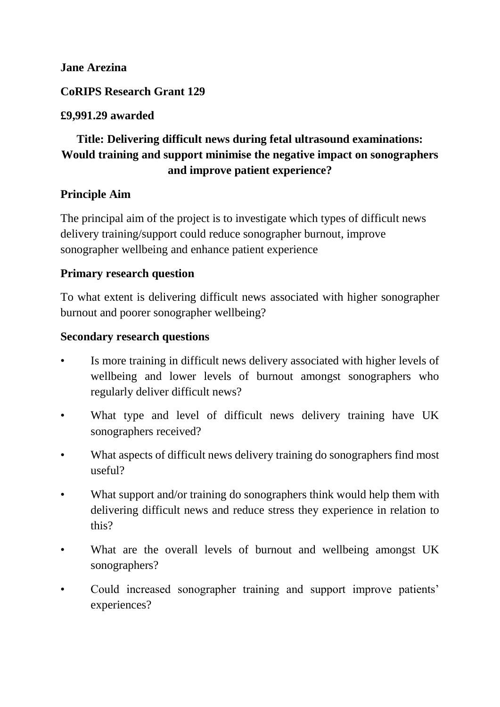#### **Jane Arezina**

**CoRIPS Research Grant 129**

# **£9,991.29 awarded**

# **Title: Delivering difficult news during fetal ultrasound examinations: Would training and support minimise the negative impact on sonographers and improve patient experience?**

#### **Principle Aim**

The principal aim of the project is to investigate which types of difficult news delivery training/support could reduce sonographer burnout, improve sonographer wellbeing and enhance patient experience

#### **Primary research question**

To what extent is delivering difficult news associated with higher sonographer burnout and poorer sonographer wellbeing?

#### **Secondary research questions**

- Is more training in difficult news delivery associated with higher levels of wellbeing and lower levels of burnout amongst sonographers who regularly deliver difficult news?
- What type and level of difficult news delivery training have UK sonographers received?
- What aspects of difficult news delivery training do sonographers find most useful?
- What support and/or training do sonographers think would help them with delivering difficult news and reduce stress they experience in relation to this?
- What are the overall levels of burnout and wellbeing amongst UK sonographers?
- Could increased sonographer training and support improve patients' experiences?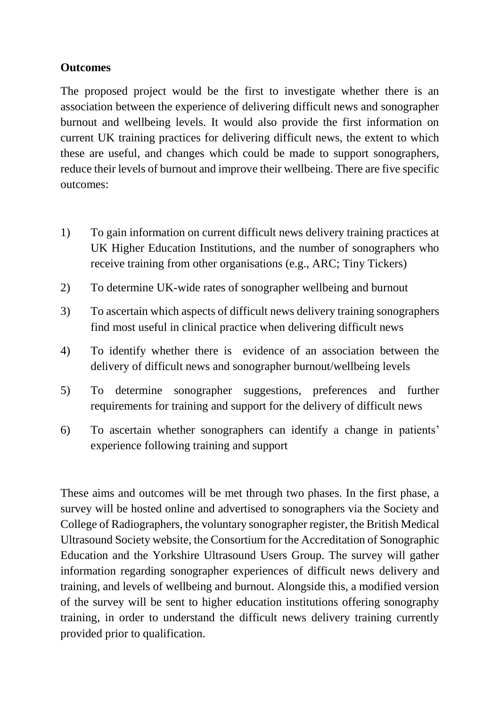# **Outcomes**

The proposed project would be the first to investigate whether there is an association between the experience of delivering difficult news and sonographer burnout and wellbeing levels. It would also provide the first information on current UK training practices for delivering difficult news, the extent to which these are useful, and changes which could be made to support sonographers, reduce their levels of burnout and improve their wellbeing. There are five specific outcomes:

- 1) To gain information on current difficult news delivery training practices at UK Higher Education Institutions, and the number of sonographers who receive training from other organisations (e.g., ARC; Tiny Tickers)
- 2) To determine UK-wide rates of sonographer wellbeing and burnout
- 3) To ascertain which aspects of difficult news delivery training sonographers find most useful in clinical practice when delivering difficult news
- 4) To identify whether there is evidence of an association between the delivery of difficult news and sonographer burnout/wellbeing levels
- 5) To determine sonographer suggestions, preferences and further requirements for training and support for the delivery of difficult news
- 6) To ascertain whether sonographers can identify a change in patients' experience following training and support

These aims and outcomes will be met through two phases. In the first phase, a survey will be hosted online and advertised to sonographers via the Society and College of Radiographers, the voluntary sonographer register, the British Medical Ultrasound Society website, the Consortium for the Accreditation of Sonographic Education and the Yorkshire Ultrasound Users Group. The survey will gather information regarding sonographer experiences of difficult news delivery and training, and levels of wellbeing and burnout. Alongside this, a modified version of the survey will be sent to higher education institutions offering sonography training, in order to understand the difficult news delivery training currently provided prior to qualification.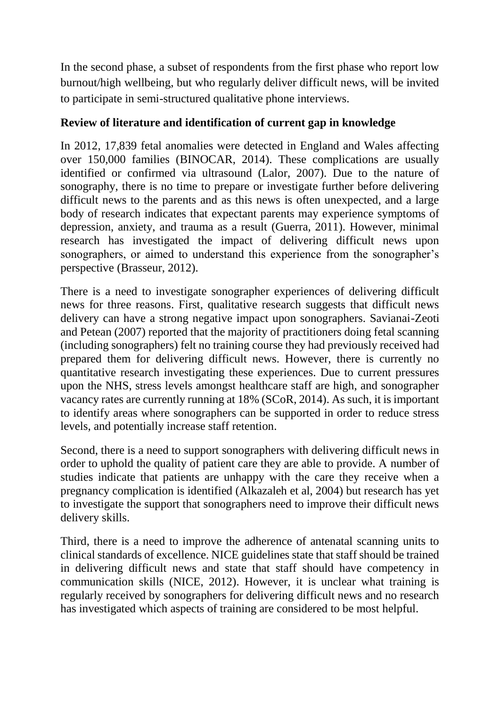In the second phase, a subset of respondents from the first phase who report low burnout/high wellbeing, but who regularly deliver difficult news, will be invited to participate in semi-structured qualitative phone interviews.

# **Review of literature and identification of current gap in knowledge**

In 2012, 17,839 fetal anomalies were detected in England and Wales affecting over 150,000 families (BINOCAR, 2014). These complications are usually identified or confirmed via ultrasound (Lalor, 2007). Due to the nature of sonography, there is no time to prepare or investigate further before delivering difficult news to the parents and as this news is often unexpected, and a large body of research indicates that expectant parents may experience symptoms of depression, anxiety, and trauma as a result (Guerra, 2011). However, minimal research has investigated the impact of delivering difficult news upon sonographers, or aimed to understand this experience from the sonographer's perspective (Brasseur, 2012).

There is a need to investigate sonographer experiences of delivering difficult news for three reasons. First, qualitative research suggests that difficult news delivery can have a strong negative impact upon sonographers. Savianai-Zeoti and Petean (2007) reported that the majority of practitioners doing fetal scanning (including sonographers) felt no training course they had previously received had prepared them for delivering difficult news. However, there is currently no quantitative research investigating these experiences. Due to current pressures upon the NHS, stress levels amongst healthcare staff are high, and sonographer vacancy rates are currently running at 18% (SCoR, 2014). As such, it is important to identify areas where sonographers can be supported in order to reduce stress levels, and potentially increase staff retention.

Second, there is a need to support sonographers with delivering difficult news in order to uphold the quality of patient care they are able to provide. A number of studies indicate that patients are unhappy with the care they receive when a pregnancy complication is identified (Alkazaleh et al, 2004) but research has yet to investigate the support that sonographers need to improve their difficult news delivery skills.

Third, there is a need to improve the adherence of antenatal scanning units to clinical standards of excellence. NICE guidelines state that staff should be trained in delivering difficult news and state that staff should have competency in communication skills (NICE, 2012). However, it is unclear what training is regularly received by sonographers for delivering difficult news and no research has investigated which aspects of training are considered to be most helpful.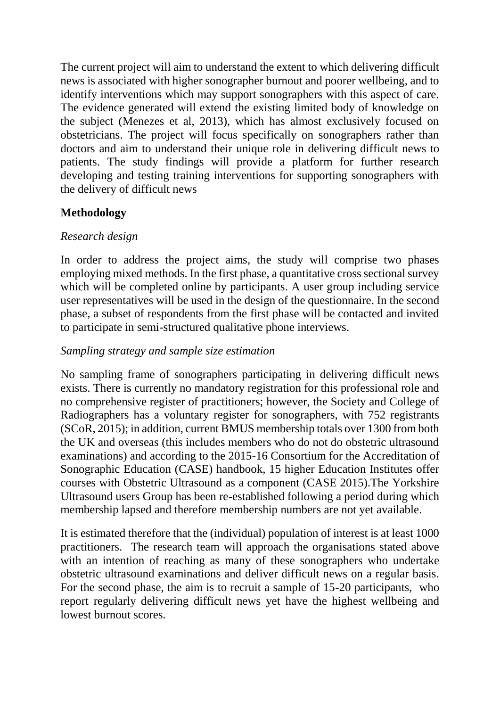The current project will aim to understand the extent to which delivering difficult news is associated with higher sonographer burnout and poorer wellbeing, and to identify interventions which may support sonographers with this aspect of care. The evidence generated will extend the existing limited body of knowledge on the subject (Menezes et al, 2013), which has almost exclusively focused on obstetricians. The project will focus specifically on sonographers rather than doctors and aim to understand their unique role in delivering difficult news to patients. The study findings will provide a platform for further research developing and testing training interventions for supporting sonographers with the delivery of difficult news

# **Methodology**

# *Research design*

In order to address the project aims, the study will comprise two phases employing mixed methods. In the first phase, a quantitative cross sectional survey which will be completed online by participants. A user group including service user representatives will be used in the design of the questionnaire. In the second phase, a subset of respondents from the first phase will be contacted and invited to participate in semi-structured qualitative phone interviews.

# *Sampling strategy and sample size estimation*

No sampling frame of sonographers participating in delivering difficult news exists. There is currently no mandatory registration for this professional role and no comprehensive register of practitioners; however, the Society and College of Radiographers has a voluntary register for sonographers, with 752 registrants (SCoR, 2015); in addition, current BMUS membership totals over 1300 from both the UK and overseas (this includes members who do not do obstetric ultrasound examinations) and according to the 2015-16 Consortium for the Accreditation of Sonographic Education (CASE) handbook, 15 higher Education Institutes offer courses with Obstetric Ultrasound as a component (CASE 2015).The Yorkshire Ultrasound users Group has been re-established following a period during which membership lapsed and therefore membership numbers are not yet available.

It is estimated therefore that the (individual) population of interest is at least 1000 practitioners. The research team will approach the organisations stated above with an intention of reaching as many of these sonographers who undertake obstetric ultrasound examinations and deliver difficult news on a regular basis. For the second phase, the aim is to recruit a sample of 15-20 participants, who report regularly delivering difficult news yet have the highest wellbeing and lowest burnout scores.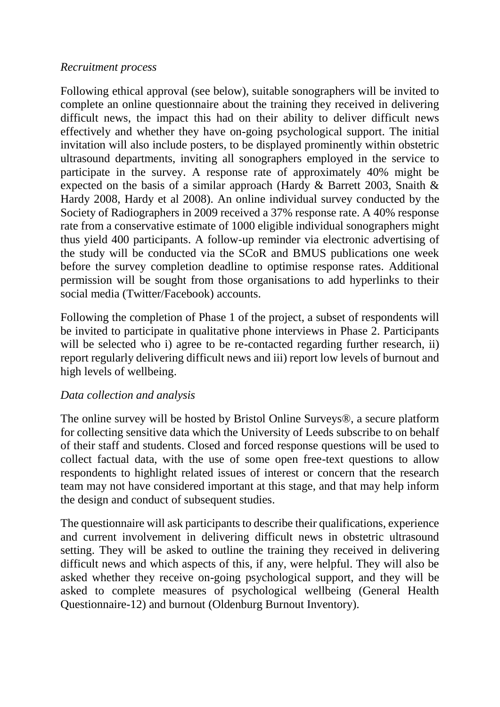#### *Recruitment process*

Following ethical approval (see below), suitable sonographers will be invited to complete an online questionnaire about the training they received in delivering difficult news, the impact this had on their ability to deliver difficult news effectively and whether they have on-going psychological support. The initial invitation will also include posters, to be displayed prominently within obstetric ultrasound departments, inviting all sonographers employed in the service to participate in the survey. A response rate of approximately 40% might be expected on the basis of a similar approach (Hardy & Barrett 2003, Snaith & Hardy 2008, Hardy et al 2008). An online individual survey conducted by the Society of Radiographers in 2009 received a 37% response rate. A 40% response rate from a conservative estimate of 1000 eligible individual sonographers might thus yield 400 participants. A follow-up reminder via electronic advertising of the study will be conducted via the SCoR and BMUS publications one week before the survey completion deadline to optimise response rates. Additional permission will be sought from those organisations to add hyperlinks to their social media (Twitter/Facebook) accounts.

Following the completion of Phase 1 of the project, a subset of respondents will be invited to participate in qualitative phone interviews in Phase 2. Participants will be selected who i) agree to be re-contacted regarding further research, ii) report regularly delivering difficult news and iii) report low levels of burnout and high levels of wellbeing.

#### *Data collection and analysis*

The online survey will be hosted by Bristol Online Surveys®, a secure platform for collecting sensitive data which the University of Leeds subscribe to on behalf of their staff and students. Closed and forced response questions will be used to collect factual data, with the use of some open free-text questions to allow respondents to highlight related issues of interest or concern that the research team may not have considered important at this stage, and that may help inform the design and conduct of subsequent studies.

The questionnaire will ask participants to describe their qualifications, experience and current involvement in delivering difficult news in obstetric ultrasound setting. They will be asked to outline the training they received in delivering difficult news and which aspects of this, if any, were helpful. They will also be asked whether they receive on-going psychological support, and they will be asked to complete measures of psychological wellbeing (General Health Questionnaire-12) and burnout (Oldenburg Burnout Inventory).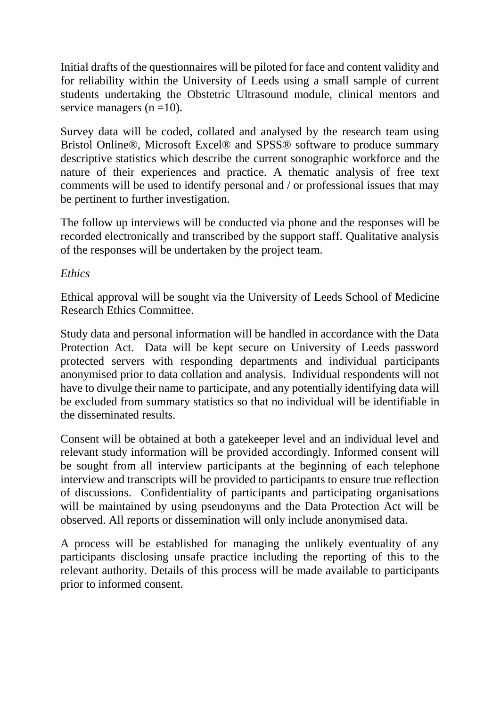Initial drafts of the questionnaires will be piloted for face and content validity and for reliability within the University of Leeds using a small sample of current students undertaking the Obstetric Ultrasound module, clinical mentors and service managers  $(n = 10)$ .

Survey data will be coded, collated and analysed by the research team using Bristol Online®, Microsoft Excel® and SPSS® software to produce summary descriptive statistics which describe the current sonographic workforce and the nature of their experiences and practice. A thematic analysis of free text comments will be used to identify personal and / or professional issues that may be pertinent to further investigation.

The follow up interviews will be conducted via phone and the responses will be recorded electronically and transcribed by the support staff. Qualitative analysis of the responses will be undertaken by the project team.

#### *Ethics*

Ethical approval will be sought via the University of Leeds School of Medicine Research Ethics Committee.

Study data and personal information will be handled in accordance with the Data Protection Act. Data will be kept secure on University of Leeds password protected servers with responding departments and individual participants anonymised prior to data collation and analysis. Individual respondents will not have to divulge their name to participate, and any potentially identifying data will be excluded from summary statistics so that no individual will be identifiable in the disseminated results.

Consent will be obtained at both a gatekeeper level and an individual level and relevant study information will be provided accordingly. Informed consent will be sought from all interview participants at the beginning of each telephone interview and transcripts will be provided to participants to ensure true reflection of discussions. Confidentiality of participants and participating organisations will be maintained by using pseudonyms and the Data Protection Act will be observed. All reports or dissemination will only include anonymised data.

A process will be established for managing the unlikely eventuality of any participants disclosing unsafe practice including the reporting of this to the relevant authority. Details of this process will be made available to participants prior to informed consent.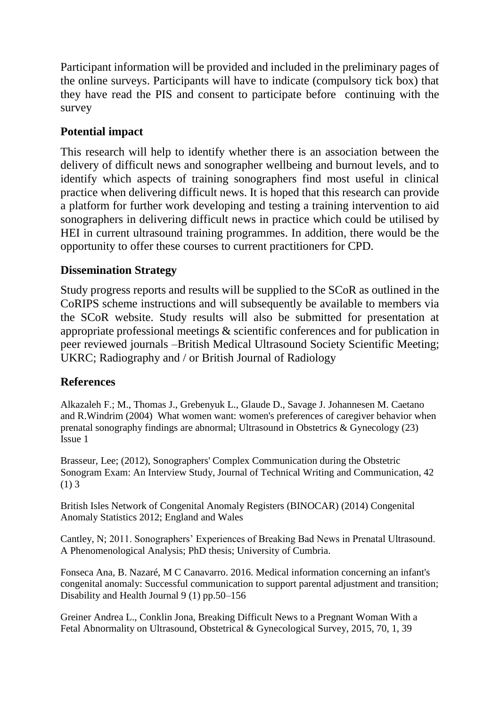Participant information will be provided and included in the preliminary pages of the online surveys. Participants will have to indicate (compulsory tick box) that they have read the PIS and consent to participate before continuing with the survey

# **Potential impact**

This research will help to identify whether there is an association between the delivery of difficult news and sonographer wellbeing and burnout levels, and to identify which aspects of training sonographers find most useful in clinical practice when delivering difficult news. It is hoped that this research can provide a platform for further work developing and testing a training intervention to aid sonographers in delivering difficult news in practice which could be utilised by HEI in current ultrasound training programmes. In addition, there would be the opportunity to offer these courses to current practitioners for CPD.

# **Dissemination Strategy**

Study progress reports and results will be supplied to the SCoR as outlined in the CoRIPS scheme instructions and will subsequently be available to members via the SCoR website. Study results will also be submitted for presentation at appropriate professional meetings & scientific conferences and for publication in peer reviewed journals –British Medical Ultrasound Society Scientific Meeting; UKRC; Radiography and / or British Journal of Radiology

# **References**

Alkazaleh F.; M., Thomas J., Grebenyuk L., Glaude D., Savage J. Johannesen M. Caetano and R.Windrim (2004) What women want: women's preferences of caregiver behavior when prenatal sonography findings are abnormal; Ultrasound in Obstetrics & Gynecology (23) Issue 1

Brasseur, Lee; (2012), Sonographers' Complex Communication during the Obstetric Sonogram Exam: An Interview Study, Journal of Technical Writing and Communication, 42 (1) 3

British Isles Network of Congenital Anomaly Registers (BINOCAR) (2014) Congenital Anomaly Statistics 2012; England and Wales

Cantley, N; 2011. Sonographers' Experiences of Breaking Bad News in Prenatal Ultrasound. A Phenomenological Analysis; PhD thesis; University of Cumbria.

Fonseca Ana, B. Nazaré, M C Canavarro. 2016. Medical information concerning an infant's congenital anomaly: Successful communication to support parental adjustment and transition; Disability and Health Journal 9 (1) pp.50–156

Greiner Andrea L., Conklin Jona, Breaking Difficult News to a Pregnant Woman With a Fetal Abnormality on Ultrasound, Obstetrical & Gynecological Survey, 2015, 70, 1, 39